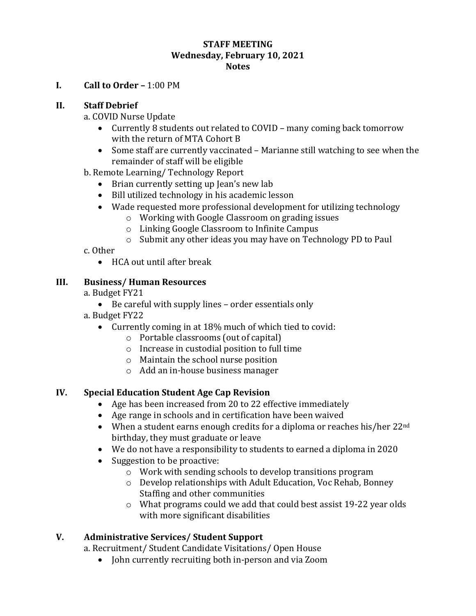#### **STAFF MEETING Wednesday, February 10, 2021 Notes**

**I. Call to Order –** 1:00 PM

### **II. Staff Debrief**

a. COVID Nurse Update

- Currently 8 students out related to COVID many coming back tomorrow with the return of MTA Cohort B
- Some staff are currently vaccinated Marianne still watching to see when the remainder of staff will be eligible
- b. Remote Learning/ Technology Report
	- Brian currently setting up Jean's new lab
	- Bill utilized technology in his academic lesson
	- Wade requested more professional development for utilizing technology
		- o Working with Google Classroom on grading issues
		- o Linking Google Classroom to Infinite Campus
		- o Submit any other ideas you may have on Technology PD to Paul

### c. Other

HCA out until after break

## **III. Business/ Human Resources**

### a. Budget FY21

Be careful with supply lines – order essentials only

a. Budget FY22

- Currently coming in at 18% much of which tied to covid:
	- o Portable classrooms (out of capital)
	- o Increase in custodial position to full time
	- o Maintain the school nurse position
	- o Add an in-house business manager

# **IV. Special Education Student Age Cap Revision**

- Age has been increased from 20 to 22 effective immediately
- Age range in schools and in certification have been waived
- When a student earns enough credits for a diploma or reaches his/her  $22^{\text{nd}}$ birthday, they must graduate or leave
- We do not have a responsibility to students to earned a diploma in 2020
- Suggestion to be proactive:
	- o Work with sending schools to develop transitions program
	- o Develop relationships with Adult Education, Voc Rehab, Bonney Staffing and other communities
	- o What programs could we add that could best assist 19-22 year olds with more significant disabilities

# **V. Administrative Services/ Student Support**

a. Recruitment/ Student Candidate Visitations/ Open House

• John currently recruiting both in-person and via Zoom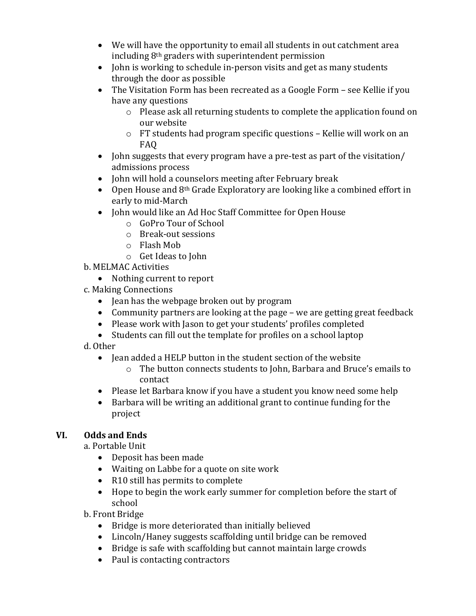- We will have the opportunity to email all students in out catchment area including 8th graders with superintendent permission
- John is working to schedule in-person visits and get as many students through the door as possible
- The Visitation Form has been recreated as a Google Form see Kellie if you have any questions
	- o Please ask all returning students to complete the application found on our website
	- o FT students had program specific questions Kellie will work on an FAQ
- John suggests that every program have a pre-test as part of the visitation/ admissions process
- John will hold a counselors meeting after February break
- $\bullet$  Open House and 8<sup>th</sup> Grade Exploratory are looking like a combined effort in early to mid-March
- John would like an Ad Hoc Staff Committee for Open House
	- o GoPro Tour of School
	- o Break-out sessions
	- o Flash Mob
	- o Get Ideas to John
- b. MELMAC Activities
	- Nothing current to report
- c. Making Connections
	- Jean has the webpage broken out by program
	- Community partners are looking at the page we are getting great feedback
	- Please work with Jason to get your students' profiles completed
	- Students can fill out the template for profiles on a school laptop
- d. Other
	- Jean added a HELP button in the student section of the website
		- o The button connects students to John, Barbara and Bruce's emails to contact
	- Please let Barbara know if you have a student you know need some help
	- Barbara will be writing an additional grant to continue funding for the project

# **VI. Odds and Ends**

a. Portable Unit

- Deposit has been made
- Waiting on Labbe for a quote on site work
- R10 still has permits to complete
- Hope to begin the work early summer for completion before the start of school

b. Front Bridge

- Bridge is more deteriorated than initially believed
- Lincoln/Haney suggests scaffolding until bridge can be removed
- Bridge is safe with scaffolding but cannot maintain large crowds
- Paul is contacting contractors